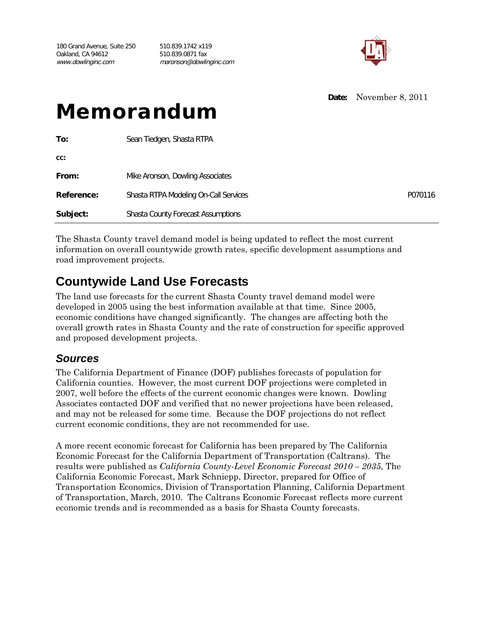180 Grand Avenue, Suite 250 510.839.1742 x119 Oakland, CA 94612 510.839.0871 fax www.dowlinginc.com maronson@dowlinginc.com



**Date:** November 8, 2011

# Memorandum

| To:        | Sean Tiedgen, Shasta RTPA                    |         |
|------------|----------------------------------------------|---------|
| CC:        |                                              |         |
| From:      | Mike Aronson, Dowling Associates             |         |
| Reference: | <b>Shasta RTPA Modeling On-Call Services</b> | P070116 |
| Subject:   | <b>Shasta County Forecast Assumptions</b>    |         |

The Shasta County travel demand model is being updated to reflect the most current information on overall countywide growth rates, specific development assumptions and road improvement projects.

# **Countywide Land Use Forecasts**

The land use forecasts for the current Shasta County travel demand model were developed in 2005 using the best information available at that time. Since 2005, economic conditions have changed significantly. The changes are affecting both the overall growth rates in Shasta County and the rate of construction for specific approved and proposed development projects.

# *Sources*

The California Department of Finance (DOF) publishes forecasts of population for California counties. However, the most current DOF projections were completed in 2007, well before the effects of the current economic changes were known. Dowling Associates contacted DOF and verified that no newer projections have been released, and may not be released for some time. Because the DOF projections do not reflect current economic conditions, they are not recommended for use.

A more recent economic forecast for California has been prepared by The California Economic Forecast for the California Department of Transportation (Caltrans). The results were published as *California County-Level Economic Forecast 2010 – 2035*, The California Economic Forecast, Mark Schniepp, Director, prepared for Office of Transportation Economics, Division of Transportation Planning, California Department of Transportation, March, 2010. The Caltrans Economic Forecast reflects more current economic trends and is recommended as a basis for Shasta County forecasts.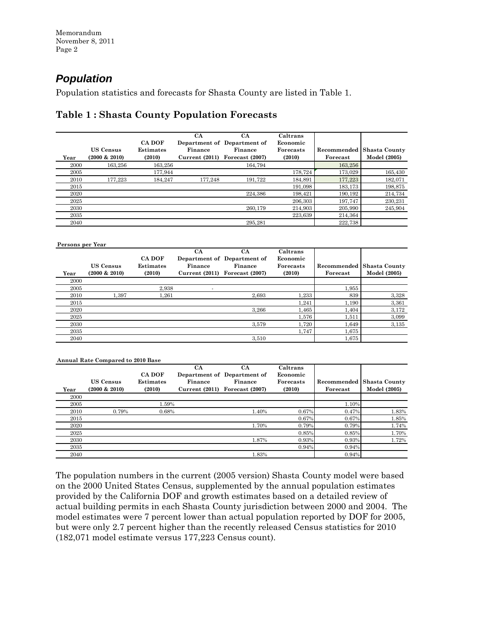# *Population*

Population statistics and forecasts for Shasta County are listed in Table 1.

# **Table 1 : Shasta County Population Forecasts**

|      |                  |                  | CA             | CA                          | Caltrans  |             |               |
|------|------------------|------------------|----------------|-----------------------------|-----------|-------------|---------------|
|      |                  | <b>CA DOF</b>    |                | Department of Department of | Economic  |             |               |
|      | <b>US Census</b> | <b>Estimates</b> | Finance        | Finance                     | Forecasts | Recommended | Shasta County |
| Year | $(2000 \& 2010)$ | (2010)           | Current (2011) | Forecast (2007)             | (2010)    | Forecast    | Model (2005)  |
| 2000 | 163.256          | 163.256          |                | 164.794                     |           | 163,256     |               |
| 2005 |                  | 177.944          |                |                             | 178,724   | 173.029     | 165,430       |
| 2010 | 177.223          | 184.247          | 177.248        | 191.722                     | 184,891   | 177,223     | 182,071       |
| 2015 |                  |                  |                |                             | 191,098   | 183,173     | 198,875       |
| 2020 |                  |                  |                | 224.386                     | 198,421   | 190,192     | 214,734       |
| 2025 |                  |                  |                |                             | 206,303   | 197,747     | 230.231       |
| 2030 |                  |                  |                | 260.179                     | 214.903   | 205,990     | 245,904       |
| 2035 |                  |                  |                |                             | 223,639   | 214,364     |               |
| 2040 |                  |                  |                | 295.281                     |           | 222,738     |               |

| Persons per Year |                                      |                                             |                                        |                                                                        |                                             |                         |                               |
|------------------|--------------------------------------|---------------------------------------------|----------------------------------------|------------------------------------------------------------------------|---------------------------------------------|-------------------------|-------------------------------|
| Year             | <b>US Census</b><br>$(2000 \& 2010)$ | <b>CA DOF</b><br><b>Estimates</b><br>(2010) | <b>CA</b><br>Finance<br>Current (2011) | <b>CA</b><br>Department of Department of<br>Finance<br>Forecast (2007) | Caltrans<br>Economic<br>Forecasts<br>(2010) | Recommended<br>Forecast | Shasta County<br>Model (2005) |
| 2000             |                                      |                                             |                                        |                                                                        |                                             |                         |                               |
| 2005             |                                      | 2.938                                       |                                        |                                                                        |                                             | 1,955                   |                               |
| 2010             | 1.397                                | 1,261                                       |                                        | 2.693                                                                  | 1,233                                       | 839                     | 3,328                         |
| 2015             |                                      |                                             |                                        |                                                                        | 1,241                                       | 1,190                   | 3,361                         |
| 2020             |                                      |                                             |                                        | 3,266                                                                  | 1,465                                       | 1,404                   | 3,172                         |
| 2025             |                                      |                                             |                                        |                                                                        | 1,576                                       | 1,511                   | 3,099                         |
| 2030             |                                      |                                             |                                        | 3,579                                                                  | 1,720                                       | 1,649                   | 3.135                         |
| 2035             |                                      |                                             |                                        |                                                                        | 1,747                                       | 1,675                   |                               |
| 2040             |                                      |                                             |                                        | 3,510                                                                  |                                             | 1,675                   |                               |

|      | <b>Annual Rate Compared to 2010 Base</b> |                  |                |                             |                  |             |               |  |  |
|------|------------------------------------------|------------------|----------------|-----------------------------|------------------|-------------|---------------|--|--|
|      |                                          |                  | CA             | <b>CA</b>                   | Caltrans         |             |               |  |  |
|      |                                          | CA DOF           |                | Department of Department of | Economic         |             |               |  |  |
|      | <b>US Census</b>                         | <b>Estimates</b> | Finance        | Finance                     | <b>Forecasts</b> | Recommended | Shasta County |  |  |
| Year | $(2000 \& 2010)$                         | (2010)           | Current (2011) | Forecast (2007)             | (2010)           | Forecast    | Model (2005)  |  |  |
| 2000 |                                          |                  |                |                             |                  |             |               |  |  |
| 2005 |                                          | 1.59%            |                |                             |                  | 1.10%       |               |  |  |
| 2010 | 0.79%                                    | 0.68%            |                | 1.40%                       | 0.67%            | 0.47%       | 1.83%         |  |  |
| 2015 |                                          |                  |                |                             | 0.67%            | $0.67\%$    | 1.85%         |  |  |
| 2020 |                                          |                  |                | 1.70%                       | 0.79%            | 0.79%       | 1.74%         |  |  |
| 2025 |                                          |                  |                |                             | 0.85%            | 0.85%       | 1.70%         |  |  |
| 2030 |                                          |                  |                | 1.87%                       | 0.93%            | 0.93%       | 1.72%         |  |  |
| 2035 |                                          |                  |                |                             | 0.94%            | 0.94%       |               |  |  |
| 2040 |                                          |                  |                | 1.83%                       |                  | 0.94%       |               |  |  |

The population numbers in the current (2005 version) Shasta County model were based on the 2000 United States Census, supplemented by the annual population estimates provided by the California DOF and growth estimates based on a detailed review of actual building permits in each Shasta County jurisdiction between 2000 and 2004. The model estimates were 7 percent lower than actual population reported by DOF for 2005, but were only 2.7 percent higher than the recently released Census statistics for 2010 (182,071 model estimate versus 177,223 Census count).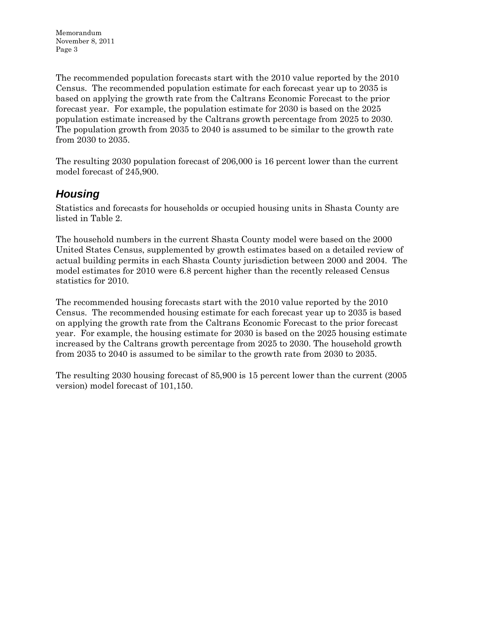Memorandum November 8, 2011 Page 3

The recommended population forecasts start with the 2010 value reported by the 2010 Census. The recommended population estimate for each forecast year up to 2035 is based on applying the growth rate from the Caltrans Economic Forecast to the prior forecast year. For example, the population estimate for 2030 is based on the 2025 population estimate increased by the Caltrans growth percentage from 2025 to 2030. The population growth from 2035 to 2040 is assumed to be similar to the growth rate from 2030 to 2035.

The resulting 2030 population forecast of 206,000 is 16 percent lower than the current model forecast of 245,900.

# *Housing*

Statistics and forecasts for households or occupied housing units in Shasta County are listed in Table 2.

The household numbers in the current Shasta County model were based on the 2000 United States Census, supplemented by growth estimates based on a detailed review of actual building permits in each Shasta County jurisdiction between 2000 and 2004. The model estimates for 2010 were 6.8 percent higher than the recently released Census statistics for 2010.

The recommended housing forecasts start with the 2010 value reported by the 2010 Census. The recommended housing estimate for each forecast year up to 2035 is based on applying the growth rate from the Caltrans Economic Forecast to the prior forecast year. For example, the housing estimate for 2030 is based on the 2025 housing estimate increased by the Caltrans growth percentage from 2025 to 2030. The household growth from 2035 to 2040 is assumed to be similar to the growth rate from 2030 to 2035.

The resulting 2030 housing forecast of 85,900 is 15 percent lower than the current (2005 version) model forecast of 101,150.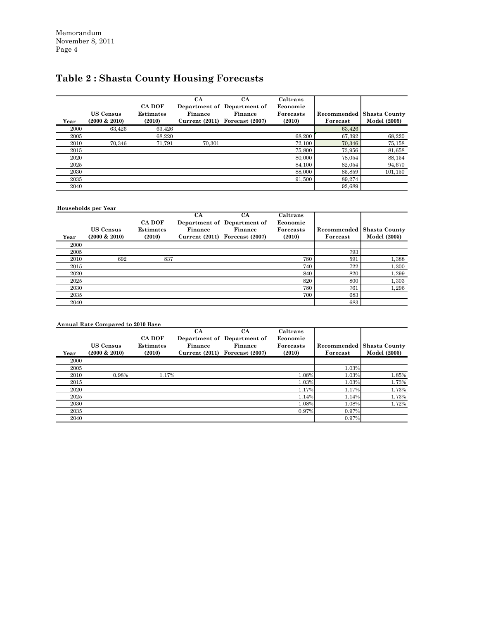# **Table 2 : Shasta County Housing Forecasts**

| Year | <b>US Census</b><br>$(2000 \& 2010)$ | <b>CA DOF</b><br>Estimates<br>(2010) | CA<br>Finance<br>Current (2011) | CA<br>Department of Department of<br>Finance<br>Forecast (2007) | Caltrans<br>Economic<br>Forecasts<br>(2010) | Forecast | <b>Recommended   Shasta County</b><br>Model (2005) |
|------|--------------------------------------|--------------------------------------|---------------------------------|-----------------------------------------------------------------|---------------------------------------------|----------|----------------------------------------------------|
| 2000 | 63.426                               | 63.426                               |                                 |                                                                 |                                             | 63,426   |                                                    |
| 2005 |                                      | 68,220                               |                                 |                                                                 | 68,200                                      | 67,392   | 68,220                                             |
| 2010 | 70.346                               | 71,791                               | 70,301                          |                                                                 | 72.100                                      | 70,346   | 75,158                                             |
| 2015 |                                      |                                      |                                 |                                                                 | 75,800                                      | 73,956   | 81,658                                             |
| 2020 |                                      |                                      |                                 |                                                                 | 80,000                                      | 78,054   | 88,154                                             |
| 2025 |                                      |                                      |                                 |                                                                 | 84,100                                      | 82,054   | 94,670                                             |
| 2030 |                                      |                                      |                                 |                                                                 | 88,000                                      | 85,859   | 101,150                                            |
| 2035 |                                      |                                      |                                 |                                                                 | 91,500                                      | 89,274   |                                                    |
| 2040 |                                      |                                      |                                 |                                                                 |                                             | 92,689   |                                                    |

#### **Households per Year**

|      |                  |                  | <b>CA</b>     | СA                          | Caltrans  |             |                      |
|------|------------------|------------------|---------------|-----------------------------|-----------|-------------|----------------------|
|      |                  | <b>CA DOF</b>    |               | Department of Department of | Economic  |             |                      |
|      | <b>US Census</b> | <b>Estimates</b> | Finance       | Finance                     | Forecasts | Recommended | <b>Shasta County</b> |
| Year | $(2000 \& 2010)$ | (2010)           | Current(2011) | Forecast (2007)             | (2010)    | Forecast    | Model (2005)         |
| 2000 |                  |                  |               |                             |           |             |                      |
| 2005 |                  |                  |               |                             |           | 793         |                      |
| 2010 | 692              | 837              |               |                             | 780       | 591         | 1,388                |
| 2015 |                  |                  |               |                             | 740       | 722         | 1,300                |
| 2020 |                  |                  |               |                             | 840       | 820         | 1,299                |
| 2025 |                  |                  |               |                             | 820       | 800         | 1,303                |
| 2030 |                  |                  |               |                             | 780       | 761         | 1,296                |
| 2035 |                  |                  |               |                             | 700       | 683         |                      |
| 2040 |                  |                  |               |                             |           | 683         |                      |

|      | <b>Annual Rate Compared to 2010 Base</b> |                  |                |                             |                  |             |               |  |  |
|------|------------------------------------------|------------------|----------------|-----------------------------|------------------|-------------|---------------|--|--|
|      |                                          |                  | CA             | <b>CA</b>                   | Caltrans         |             |               |  |  |
|      |                                          | CA DOF           |                | Department of Department of | Economic         |             |               |  |  |
|      | <b>US Census</b>                         | <b>Estimates</b> | Finance        | Finance                     | <b>Forecasts</b> | Recommended | Shasta County |  |  |
| Year | $(2000 \& 2010)$                         | (2010)           | Current (2011) | Forecast (2007)             | (2010)           | Forecast    | Model (2005)  |  |  |
| 2000 |                                          |                  |                |                             |                  |             |               |  |  |
| 2005 |                                          |                  |                |                             |                  | 1.03%       |               |  |  |
| 2010 | 0.98%                                    | 1.17%            |                |                             | 1.08%            | 1.03%       | 1.85%         |  |  |
| 2015 |                                          |                  |                |                             | 1.03%            | 1.03%       | 1.73%         |  |  |
| 2020 |                                          |                  |                |                             | 1.17%            | 1.17%       | 1.73%         |  |  |
| 2025 |                                          |                  |                |                             | 1.14%            | 1.14%       | 1.73%         |  |  |
| 2030 |                                          |                  |                |                             | 1.08%            | 1.08%       | 1.72%         |  |  |
| 2035 |                                          |                  |                |                             | 0.97%            | $0.97\%$    |               |  |  |
| 2040 |                                          |                  |                |                             |                  | 0.97%       |               |  |  |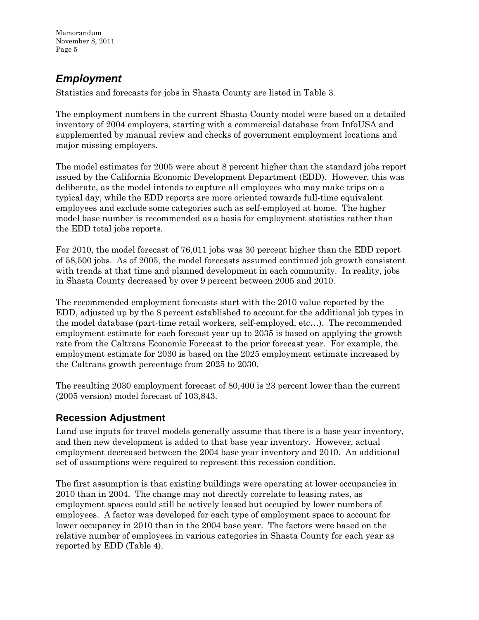Memorandum November 8, 2011 Page 5

# *Employment*

Statistics and forecasts for jobs in Shasta County are listed in Table 3.

The employment numbers in the current Shasta County model were based on a detailed inventory of 2004 employers, starting with a commercial database from InfoUSA and supplemented by manual review and checks of government employment locations and major missing employers.

The model estimates for 2005 were about 8 percent higher than the standard jobs report issued by the California Economic Development Department (EDD). However, this was deliberate, as the model intends to capture all employees who may make trips on a typical day, while the EDD reports are more oriented towards full-time equivalent employees and exclude some categories such as self-employed at home. The higher model base number is recommended as a basis for employment statistics rather than the EDD total jobs reports.

For 2010, the model forecast of 76,011 jobs was 30 percent higher than the EDD report of 58,500 jobs. As of 2005, the model forecasts assumed continued job growth consistent with trends at that time and planned development in each community. In reality, jobs in Shasta County decreased by over 9 percent between 2005 and 2010.

The recommended employment forecasts start with the 2010 value reported by the EDD, adjusted up by the 8 percent established to account for the additional job types in the model database (part-time retail workers, self-employed, etc…). The recommended employment estimate for each forecast year up to 2035 is based on applying the growth rate from the Caltrans Economic Forecast to the prior forecast year. For example, the employment estimate for 2030 is based on the 2025 employment estimate increased by the Caltrans growth percentage from 2025 to 2030.

The resulting 2030 employment forecast of 80,400 is 23 percent lower than the current (2005 version) model forecast of 103,843.

# **Recession Adjustment**

Land use inputs for travel models generally assume that there is a base year inventory, and then new development is added to that base year inventory. However, actual employment decreased between the 2004 base year inventory and 2010. An additional set of assumptions were required to represent this recession condition.

The first assumption is that existing buildings were operating at lower occupancies in 2010 than in 2004. The change may not directly correlate to leasing rates, as employment spaces could still be actively leased but occupied by lower numbers of employees. A factor was developed for each type of employment space to account for lower occupancy in 2010 than in the 2004 base year. The factors were based on the relative number of employees in various categories in Shasta County for each year as reported by EDD (Table 4).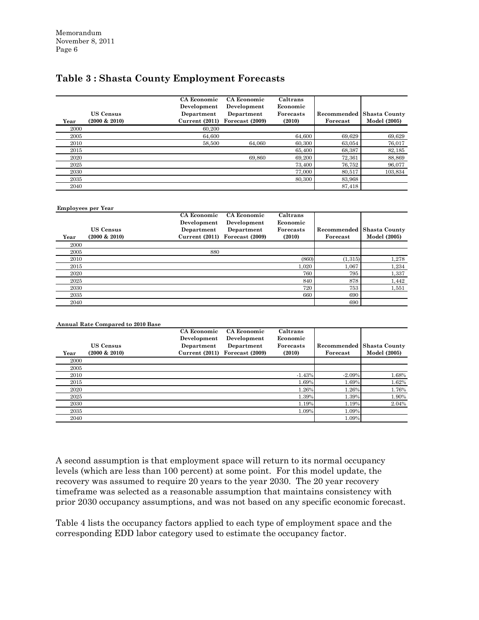# **Table 3 : Shasta County Employment Forecasts**

|      |                  | CA Economic<br>Development | CA Economic<br>Development | Caltrans<br>Economic |             |                      |
|------|------------------|----------------------------|----------------------------|----------------------|-------------|----------------------|
|      | <b>US Census</b> | Department                 | Department                 | Forecasts            | Recommended | <b>Shasta County</b> |
| Year | $(2000 \& 2010)$ | Current (2011)             | Forecast (2009)            | (2010)               | Forecast    | Model (2005)         |
| 2000 |                  | 60.200                     |                            |                      |             |                      |
| 2005 |                  | 64.600                     |                            | 64.600               | 69,629      | 69,629               |
| 2010 |                  | 58.500                     | 64.060                     | 60,300               | 63.054      | 76,017               |
| 2015 |                  |                            |                            | 65,400               | 68,387      | 82,185               |
| 2020 |                  |                            | 69.860                     | 69,200               | 72,361      | 88,869               |
| 2025 |                  |                            |                            | 73,400               | 76,752      | 96,077               |
| 2030 |                  |                            |                            | 77,000               | 80,517      | 103,834              |
| 2035 |                  |                            |                            | 80,300               | 83,968      |                      |
| 2040 |                  |                            |                            |                      | 87,418      |                      |

#### **Employees per Year**

| Year | <b>US Census</b><br>$(2000 \& 2010)$ | CA Economic<br>Development<br>Department | CA Economic<br>Development<br>Department<br>Current $(2011)$ Forecast $(2009)$ | Caltrans<br>Economic<br>Forecasts<br>(2010) | Recommended<br>Forecast | Shasta County<br>Model (2005) |
|------|--------------------------------------|------------------------------------------|--------------------------------------------------------------------------------|---------------------------------------------|-------------------------|-------------------------------|
| 2000 |                                      |                                          |                                                                                |                                             |                         |                               |
| 2005 |                                      | 880                                      |                                                                                |                                             |                         |                               |
| 2010 |                                      |                                          |                                                                                | (860)                                       | (1,315)                 | 1,278                         |
| 2015 |                                      |                                          |                                                                                | 1,020                                       | 1,067                   | 1,234                         |
| 2020 |                                      |                                          |                                                                                | 760                                         | 795                     | 1,337                         |
| 2025 |                                      |                                          |                                                                                | 840                                         | 878                     | 1,442                         |
| 2030 |                                      |                                          |                                                                                | 720                                         | 753                     | 1,551                         |
| 2035 |                                      |                                          |                                                                                | 660                                         | 690                     |                               |
| 2040 |                                      |                                          |                                                                                |                                             | 690                     |                               |

|      | <b>Annual Rate Compared to 2010 Base</b> |               |                 |           |             |                      |
|------|------------------------------------------|---------------|-----------------|-----------|-------------|----------------------|
|      |                                          | CA Economic   | CA Economic     | Caltrans  |             |                      |
|      |                                          | Development   | Development     | Economic  |             |                      |
|      | <b>US Census</b>                         | Department    | Department      | Forecasts | Recommended | <b>Shasta County</b> |
| Year | $(2000 \& 2010)$                         | Current(2011) | Forecast (2009) | (2010)    | Forecast    | Model (2005)         |
| 2000 |                                          |               |                 |           |             |                      |
| 2005 |                                          |               |                 |           |             |                      |
| 2010 |                                          |               |                 | $-1.43%$  | $-2.09%$    | 1.68%                |
| 2015 |                                          |               |                 | 1.69%     | 1.69%       | 1.62%                |
| 2020 |                                          |               |                 | 1.26%     | 1.26%       | 1.76%                |
| 2025 |                                          |               |                 | 1.39%     | 1.39%       | 1.90%                |
| 2030 |                                          |               |                 | 1.19%     | 1.19%       | 2.04%                |
| 2035 |                                          |               |                 | 1.09%     | 1.09%       |                      |
| 2040 |                                          |               |                 |           | 1.09%       |                      |

A second assumption is that employment space will return to its normal occupancy levels (which are less than 100 percent) at some point. For this model update, the recovery was assumed to require 20 years to the year 2030. The 20 year recovery timeframe was selected as a reasonable assumption that maintains consistency with prior 2030 occupancy assumptions, and was not based on any specific economic forecast.

Table 4 lists the occupancy factors applied to each type of employment space and the corresponding EDD labor category used to estimate the occupancy factor.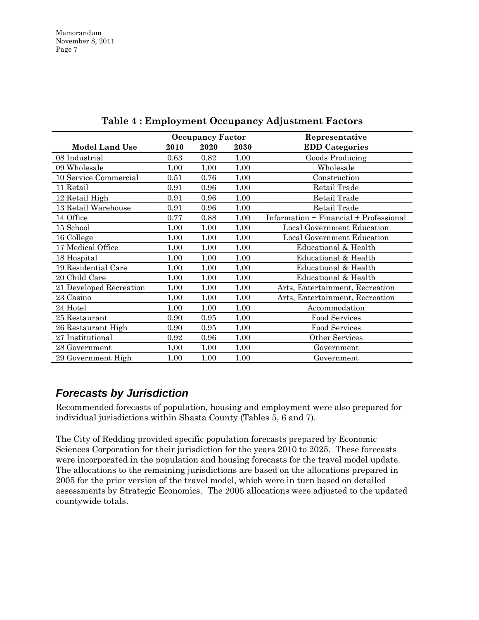|                         |      | <b>Occupancy Factor</b> |      | Representative                         |
|-------------------------|------|-------------------------|------|----------------------------------------|
| <b>Model Land Use</b>   | 2010 | 2020                    | 2030 | <b>EDD</b> Categories                  |
| 08 Industrial           | 0.63 | 0.82                    | 1.00 | Goods Producing                        |
| 09 Wholesale            | 1.00 | 1.00                    | 1.00 | Wholesale                              |
| 10 Service Commercial   | 0.51 | 0.76                    | 1.00 | Construction                           |
| 11 Retail               | 0.91 | 0.96                    | 1.00 | Retail Trade                           |
| 12 Retail High          | 0.91 | 0.96                    | 1.00 | Retail Trade                           |
| 13 Retail Warehouse     | 0.91 | 0.96                    | 1.00 | Retail Trade                           |
| 14 Office               | 0.77 | 0.88                    | 1.00 | Information + Financial + Professional |
| 15 School               | 1.00 | 1.00                    | 1.00 | Local Government Education             |
| 16 College              | 1.00 | 1.00                    | 1.00 | Local Government Education             |
| 17 Medical Office       | 1.00 | 1.00                    | 1.00 | Educational & Health                   |
| 18 Hospital             | 1.00 | 1.00                    | 1.00 | Educational & Health                   |
| 19 Residential Care     | 1.00 | 1.00                    | 1.00 | Educational & Health                   |
| 20 Child Care           | 1.00 | 1.00                    | 1.00 | Educational & Health                   |
| 21 Developed Recreation | 1.00 | 1.00                    | 1.00 | Arts, Entertainment, Recreation        |
| 23 Casino               | 1.00 | 1.00                    | 1.00 | Arts, Entertainment, Recreation        |
| 24 Hotel                | 1.00 | 1.00                    | 1.00 | Accommodation                          |
| 25 Restaurant           | 0.90 | 0.95                    | 1.00 | Food Services                          |
| 26 Restaurant High      | 0.90 | 0.95                    | 1.00 | Food Services                          |
| 27 Institutional        | 0.92 | 0.96                    | 1.00 | Other Services                         |
| 28 Government           | 1.00 | 1.00                    | 1.00 | Government                             |
| 29 Government High      | 1.00 | 1.00                    | 1.00 | Government                             |

**Table 4 : Employment Occupancy Adjustment Factors**

# *Forecasts by Jurisdiction*

Recommended forecasts of population, housing and employment were also prepared for individual jurisdictions within Shasta County (Tables 5, 6 and 7).

The City of Redding provided specific population forecasts prepared by Economic Sciences Corporation for their jurisdiction for the years 2010 to 2025. These forecasts were incorporated in the population and housing forecasts for the travel model update. The allocations to the remaining jurisdictions are based on the allocations prepared in 2005 for the prior version of the travel model, which were in turn based on detailed assessments by Strategic Economics. The 2005 allocations were adjusted to the updated countywide totals.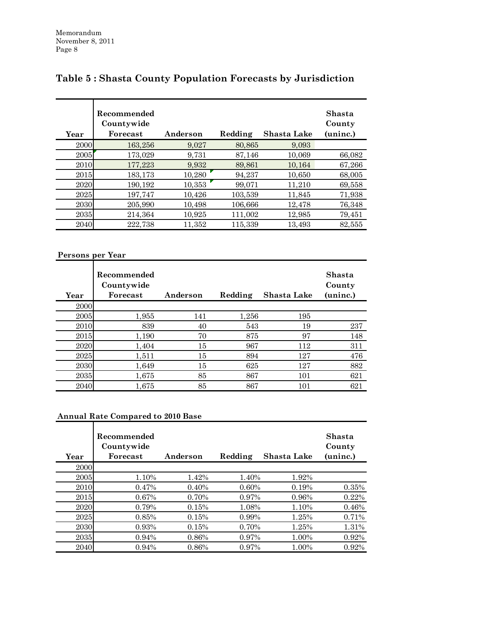| Year | Recommended<br>Countywide<br>Forecast | Anderson | Redding | Shasta Lake | Shasta<br>County<br>(uninc.) |
|------|---------------------------------------|----------|---------|-------------|------------------------------|
| 2000 | 163,256                               | 9,027    | 80,865  | 9,093       |                              |
| 2005 | 173,029                               | 9,731    | 87,146  | 10,069      | 66,082                       |
| 2010 | 177,223                               | 9,932    | 89,861  | 10,164      | 67,266                       |
| 2015 | 183,173                               | 10,280   | 94,237  | 10,650      | 68,005                       |
| 2020 | 190,192                               | 10,353   | 99,071  | 11,210      | 69,558                       |
| 2025 | 197,747                               | 10.426   | 103,539 | 11,845      | 71,938                       |
| 2030 | 205,990                               | 10,498   | 106,666 | 12,478      | 76,348                       |
| 2035 | 214.364                               | 10,925   | 111,002 | 12,985      | 79,451                       |
| 2040 | 222,738                               | 11,352   | 115,339 | 13,493      | 82,555                       |

# **Table 5 : Shasta County Population Forecasts by Jurisdiction**

#### **Persons per Year**

| Year | Recommended<br>Countywide<br>Forecast | Anderson | Redding | Shasta Lake | Shasta<br>County<br>(uninc.) |
|------|---------------------------------------|----------|---------|-------------|------------------------------|
| 2000 |                                       |          |         |             |                              |
| 2005 | 1,955                                 | 141      | 1,256   | 195         |                              |
| 2010 | 839                                   | 40       | 543     | 19          | 237                          |
| 2015 | 1,190                                 | 70       | 875     | 97          | 148                          |
| 2020 | 1,404                                 | 15       | 967     | 112         | 311                          |
| 2025 | 1,511                                 | 15       | 894     | 127         | 476                          |
| 2030 | 1.649                                 | 15       | 625     | 127         | 882                          |
| 2035 | 1,675                                 | 85       | 867     | 101         | 621                          |
| 2040 | 1,675                                 | 85       | 867     | 101         | 621                          |

# **Annual Rate Compared to 2010 Base**

| Year | Recommended<br>Countywide<br>Forecast | Anderson | Redding | Shasta Lake | <b>Shasta</b><br>County<br>(uninc.) |
|------|---------------------------------------|----------|---------|-------------|-------------------------------------|
| 2000 |                                       |          |         |             |                                     |
| 2005 | 1.10%                                 | 1.42%    | 1.40%   | 1.92%       |                                     |
| 2010 | 0.47%                                 | 0.40%    | 0.60%   | 0.19%       | 0.35%                               |
| 2015 | 0.67%                                 | 0.70%    | 0.97%   | 0.96%       | 0.22%                               |
| 2020 | 0.79%                                 | 0.15%    | 1.08%   | 1.10%       | 0.46%                               |
| 2025 | 0.85%                                 | 0.15%    | 0.99%   | 1.25%       | 0.71%                               |
| 2030 | 0.93%                                 | 0.15%    | 0.70%   | 1.25%       | 1.31%                               |
| 2035 | 0.94%                                 | 0.86%    | 0.97%   | 1.00%       | 0.92%                               |
| 2040 | 0.94%                                 | 0.86%    | 0.97%   | 1.00%       | 0.92%                               |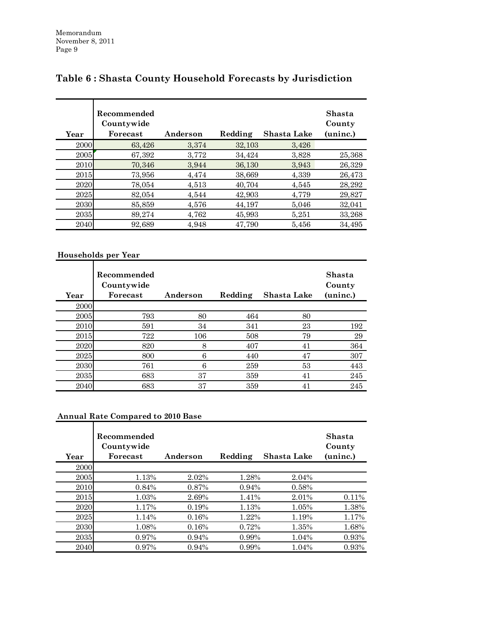| Year | Recommended<br>Countywide<br>Forecast | Anderson | Redding | Shasta Lake | Shasta<br>County<br>(uninc.) |
|------|---------------------------------------|----------|---------|-------------|------------------------------|
| 2000 | 63,426                                | 3,374    | 32,103  | 3,426       |                              |
| 2005 | 67,392                                | 3,772    | 34,424  | 3,828       | 25,368                       |
| 2010 | 70,346                                | 3,944    | 36,130  | 3,943       | 26,329                       |
| 2015 | 73,956                                | 4,474    | 38,669  | 4,339       | 26,473                       |
| 2020 | 78,054                                | 4,513    | 40,704  | 4,545       | 28,292                       |
| 2025 | 82,054                                | 4.544    | 42.903  | 4,779       | 29,827                       |
| 2030 | 85,859                                | 4,576    | 44,197  | 5,046       | 32,041                       |
| 2035 | 89,274                                | 4,762    | 45,993  | 5,251       | 33,268                       |
| 2040 | 92.689                                | 4,948    | 47,790  | 5,456       | 34.495                       |

# **Table 6 : Shasta County Household Forecasts by Jurisdiction**

# **Households per Year**

| Year | Recommended<br>Countywide<br>Forecast | Anderson | Redding | Shasta Lake | Shasta<br>County<br>(uninc.) |
|------|---------------------------------------|----------|---------|-------------|------------------------------|
| 2000 |                                       |          |         |             |                              |
| 2005 | 793                                   | 80       | 464     | 80          |                              |
| 2010 | 591                                   | 34       | 341     | 23          | 192                          |
| 2015 | 722                                   | 106      | 508     | 79          | 29                           |
| 2020 | 820                                   | 8        | 407     | 41          | 364                          |
| 2025 | 800                                   | 6        | 440     | 47          | 307                          |
| 2030 | 761                                   | 6        | 259     | 53          | 443                          |
| 2035 | 683                                   | 37       | 359     | 41          | 245                          |
| 2040 | 683                                   | 37       | 359     | 41          | 245                          |

# **Annual Rate Compared to 2010 Base**

| Year | Recommended<br>Countywide<br>Forecast | Anderson | Redding | Shasta Lake | <b>Shasta</b><br>County<br>(uninc.) |
|------|---------------------------------------|----------|---------|-------------|-------------------------------------|
| 2000 |                                       |          |         |             |                                     |
| 2005 | 1.13%                                 | 2.02%    | 1.28%   | 2.04%       |                                     |
| 2010 | 0.84%                                 | 0.87%    | 0.94%   | 0.58%       |                                     |
| 2015 | 1.03%                                 | 2.69%    | 1.41%   | 2.01%       | 0.11%                               |
| 2020 | 1.17%                                 | 0.19%    | 1.13%   | 1.05%       | 1.38%                               |
| 2025 | 1.14%                                 | 0.16%    | 1.22%   | 1.19%       | 1.17%                               |
| 2030 | 1.08%                                 | 0.16%    | 0.72%   | 1.35%       | 1.68%                               |
| 2035 | 0.97%                                 | 0.94%    | 0.99%   | 1.04%       | 0.93%                               |
| 2040 | 0.97%                                 | 0.94%    | 0.99%   | 1.04%       | 0.93%                               |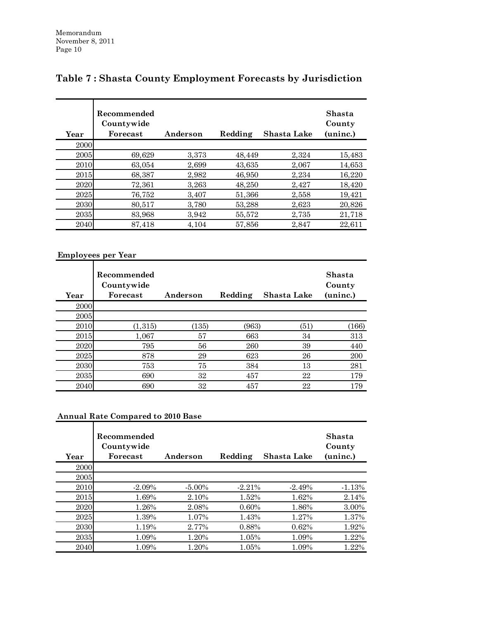| Year | Recommended<br>Countywide<br>Forecast | Anderson | Redding | Shasta Lake | Shasta<br>County<br>(uninc.) |
|------|---------------------------------------|----------|---------|-------------|------------------------------|
| 2000 |                                       |          |         |             |                              |
| 2005 | 69,629                                | 3,373    | 48,449  | 2,324       | 15,483                       |
| 2010 | 63.054                                | 2,699    | 43,635  | 2,067       | 14,653                       |
| 2015 | 68,387                                | 2,982    | 46,950  | 2,234       | 16,220                       |
| 2020 | 72,361                                | 3,263    | 48,250  | 2,427       | 18,420                       |
| 2025 | 76,752                                | 3,407    | 51,366  | 2,558       | 19,421                       |
| 2030 | 80,517                                | 3,780    | 53,288  | 2,623       | 20,826                       |
| 2035 | 83,968                                | 3,942    | 55,572  | 2,735       | 21,718                       |
| 2040 | 87,418                                | 4,104    | 57,856  | 2,847       | 22,611                       |

# **Table 7 : Shasta County Employment Forecasts by Jurisdiction**

#### **Employees per Year**

| Year | Recommended<br>Countywide<br>Forecast | Anderson | Redding | Shasta Lake | <b>Shasta</b><br>County<br>(uninc.) |
|------|---------------------------------------|----------|---------|-------------|-------------------------------------|
| 2000 |                                       |          |         |             |                                     |
| 2005 |                                       |          |         |             |                                     |
| 2010 | (1,315)                               | (135)    | (963)   | (51)        | (166)                               |
| 2015 | 1,067                                 | 57       | 663     | 34          | 313                                 |
| 2020 | 795                                   | 56       | 260     | 39          | 440                                 |
| 2025 | 878                                   | 29       | 623     | 26          | 200                                 |
| 2030 | 753                                   | 75       | 384     | 13          | 281                                 |
| 2035 | 690                                   | 32       | 457     | 22          | 179                                 |
| 2040 | 690                                   | 32       | 457     | 22          | 179                                 |

#### **Annual Rate Compared to 2010 Base**

| Year | Recommended<br>Countywide<br>Forecast | Anderson  | Redding  | Shasta Lake | Shasta<br>County<br>(uninc.) |
|------|---------------------------------------|-----------|----------|-------------|------------------------------|
| 2000 |                                       |           |          |             |                              |
| 2005 |                                       |           |          |             |                              |
| 2010 | $-2.09%$                              | $-5.00\%$ | $-2.21%$ | $-2.49%$    | $-1.13%$                     |
| 2015 | 1.69%                                 | 2.10%     | 1.52%    | 1.62%       | 2.14%                        |
| 2020 | 1.26%                                 | 2.08%     | $0.60\%$ | 1.86%       | 3.00%                        |
| 2025 | 1.39%                                 | 1.07%     | 1.43%    | 1.27%       | 1.37%                        |
| 2030 | 1.19%                                 | 2.77%     | 0.88%    | 0.62%       | 1.92%                        |
| 2035 | 1.09%                                 | 1.20%     | 1.05%    | 1.09%       | 1.22%                        |
| 2040 | 1.09%                                 | 1.20%     | 1.05%    | 1.09%       | 1.22%                        |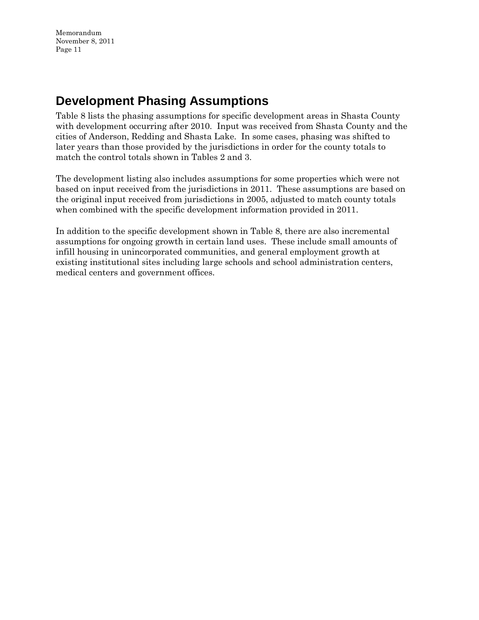# **Development Phasing Assumptions**

Table 8 lists the phasing assumptions for specific development areas in Shasta County with development occurring after 2010. Input was received from Shasta County and the cities of Anderson, Redding and Shasta Lake. In some cases, phasing was shifted to later years than those provided by the jurisdictions in order for the county totals to match the control totals shown in Tables 2 and 3.

The development listing also includes assumptions for some properties which were not based on input received from the jurisdictions in 2011. These assumptions are based on the original input received from jurisdictions in 2005, adjusted to match county totals when combined with the specific development information provided in 2011.

In addition to the specific development shown in Table 8, there are also incremental assumptions for ongoing growth in certain land uses. These include small amounts of infill housing in unincorporated communities, and general employment growth at existing institutional sites including large schools and school administration centers, medical centers and government offices.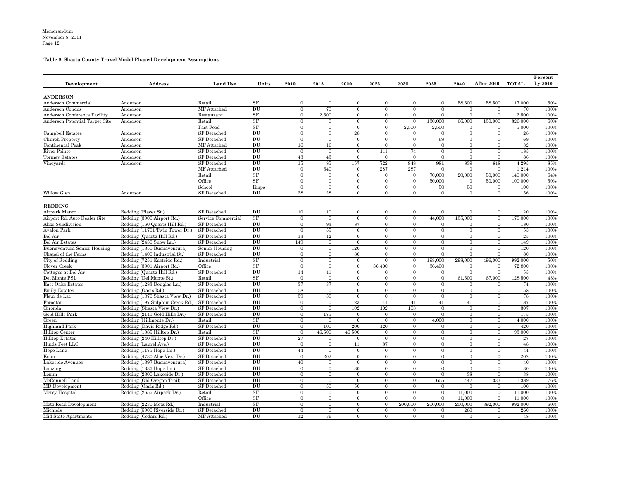# **Table 8: Shasta County Travel Model Phased Development Assumptions**

|                                |                                 |                    |                            |                |                |                |                |          |                |                |                   |              | Percent   |
|--------------------------------|---------------------------------|--------------------|----------------------------|----------------|----------------|----------------|----------------|----------|----------------|----------------|-------------------|--------------|-----------|
| Development                    | <b>Address</b>                  | <b>Land Use</b>    | Units                      | 2010           | 2015           | 2020           | 2025           | 2030     | 2035           | 2040           | <b>After 2040</b> | <b>TOTAL</b> | by $2040$ |
| <b>ANDERSON</b>                |                                 |                    |                            |                |                |                |                |          |                |                |                   |              |           |
| Anderson Commercial            | Anderson                        | Retail             | SF                         | $\overline{0}$ | $\Omega$       | $\theta$       | $\Omega$       | $\Omega$ | $\Omega$       | 58,500         | 58,500            | 117,000      | 50%       |
| Anderson Condos                | Anderson                        | MF Attached        | $\overline{DU}$            | $\Omega$       | 70             | $\theta$       | $\Omega$       |          | $\Omega$       |                |                   | 70           | 100%      |
| Anderson Conference Facility   | Anderson                        | Restaurant         | SF                         | $\Omega$       | 2,500          | $\Omega$       | $\Omega$       | $\Omega$ | $\Omega$       | $\Omega$       |                   | 2,500        | 100%      |
| Anderson Potential Target Site | Anderson                        | Retail             | SF                         | $\Omega$       | - 0            | $\Omega$       | $\Omega$       | $\Omega$ | 130,000        | 66,000         | 130,000           | 326,000      | 60%       |
|                                |                                 | <b>Fast Food</b>   | SF                         | $\Omega$       |                |                | $\Omega$       | 2,500    | 2,500          | $\theta$       |                   | 5,000        | 100%      |
| Campbell Estates               | Anderson                        | <b>SF</b> Detached | <b>DU</b>                  | $\overline{0}$ | $\Omega$       | 28             | $\Omega$       | $\Omega$ | $\Omega$       | $\Omega$       | $\Omega$          | ${\bf 28}$   | 100%      |
| <b>Church Property</b>         | Anderson                        | <b>SF</b> Detached | DU                         | $\Omega$       | $\Omega$       | $\overline{0}$ | $\Omega$       | $\Omega$ | 69             | $\Omega$       |                   | 69           | 100%      |
| Continental Peak               | Anderson                        | MF Attached        | DU                         | 16             | 16             | $\overline{0}$ | $\Omega$       | $\Omega$ | $\overline{0}$ | $\overline{0}$ | $\Omega$          | $32\,$       | 100%      |
| River Pointe                   | Anderson                        | SF Detached        | DU                         | $\mathbf{0}$   | $\overline{0}$ | $\overline{0}$ | 111            | 74       | $\Omega$       | $\Omega$       | $\Omega$          | 185          | 100%      |
| <b>Tormey Estates</b>          | Anderson                        | <b>SF</b> Detached | DU                         | 43             | 43             | $\overline{0}$ | $\overline{0}$ | $\Omega$ | $\Omega$       | $\Omega$       | $\Omega$          | 86           | 100%      |
| Vineyards                      | Anderson                        | <b>SF</b> Detached | DU                         | 15             | 85             | 157            | 722            | 848      | 981            | 839            | 648               | 4,295        | 85%       |
|                                |                                 | MF Attached        | DU                         | $\Omega$       | 640            |                | 287            | 287      |                | $\Omega$       |                   | 1,214        | 100%      |
|                                |                                 | Retail             | <b>SF</b>                  |                | $\Omega$       |                | $\Omega$       |          | 70,000         | 20,000         | 50,000            | 140,000      | 64%       |
|                                |                                 | Office             | <b>SF</b>                  |                |                |                | $\Omega$       |          | 50,000         | $\Omega$       | 50,000            | 100,000      | 50%       |
|                                |                                 | School             | Emps                       | $\Omega$       |                |                | $\Omega$       |          | 50             | 50             |                   | 100          | 100%      |
| Willow Glen                    | Anderson                        | <b>SF</b> Detached | $\mathop{\rm DU}\nolimits$ | 28             | 28             | $\Omega$       | $\Omega$       | $\Omega$ | $\theta$       | $\overline{0}$ | $\Omega$          | 56           | 100%      |
|                                |                                 |                    |                            |                |                |                |                |          |                |                |                   |              |           |
| <b>REDDING</b>                 | Redding (Placer St.)            | SF Detached        | $\mathop{\rm DU}\nolimits$ |                |                |                |                | $\Omega$ | $\Omega$       |                | $\Omega$          |              |           |
| Airpark Manor                  |                                 |                    | SF                         | 10             | 10             | $\Omega$       | $\Omega$       |          |                | $\Omega$       |                   | 20           | 100%      |
| Airport Rd. Auto Dealer Site   | Redding (3900 Airport Rd.)      | Service Commercial |                            | $\overline{0}$ | $\overline{0}$ | $\overline{0}$ | $\Omega$       | $\Omega$ | 44,000         | 135,000        |                   | 179,000      | 100%      |
| Alize Subdivision              | Redding (160 Quartz Hill Rd.)   | <b>SF</b> Detached | DU                         | $\overline{0}$ | 93             | 87             | $\Omega$       | $\Omega$ | $\Omega$       | 0              |                   | 180          | 100%      |
| Avalon Park                    | Redding (11701 Twin Tower Dr.)  | <b>SF</b> Detached | DU                         | $\Omega$       | $55\,$         | $\theta$       | $\Omega$       | $\Omega$ | $\Omega$       | 0              |                   | 55           | 100%      |
| Bel Air                        | Redding (Quartz Hill Rd.)       | <b>SF</b> Detached | DU                         | 13             | $12\,$         | $\Omega$       | $\Omega$       | $\Omega$ | $\Omega$       | $\Omega$       |                   | $25\,$       | 100%      |
| <b>Bel Air Estates</b>         | Redding (2430 Snow Ln.)         | <b>SF</b> Detached | <b>DU</b>                  | 149            | $\Omega$       | $\theta$       | $\Omega$       | $\Omega$ | $\Omega$       | $\overline{0}$ |                   | 149          | 100%      |
| Buenaventura Senior Housing    | Redding (1350 Buenaventura)     | Senior Housing     | DU                         | $\overline{0}$ | $\Omega$       | 120            | $\Omega$       | $\Omega$ | $\Omega$       | $\Omega$       |                   | 120          | 100%      |
| Chapel of the Ferns            | Redding (1400 Industrial St.)   | <b>SF</b> Detached | DU                         | $\Omega$       | $\Omega$       | 80             | $\Omega$       | $\Omega$ | $\Omega$       | 0              | $\Omega$          | 80           | 100%      |
| City of Redding                | Redding (7251 Eastside Rd.)     | Industrial         | SF                         | $\overline{0}$ | $\Omega$       | $\theta$       | $\Omega$       | $\Omega$ | 198,000        | 298,000        | 496,000           | 992,000      | 50%       |
| Clover Creek                   | Redding (3901 Airport Rd.)      | Office             | SF                         | $\overline{0}$ | $\overline{0}$ | $\overline{0}$ | 36,400         | $\Omega$ | 36,400         | $\theta$       |                   | 72,800       | 100%      |
| Cottages at Bel Air            | Redding (Quartz Hill Rd.)       | SF Detached        | $\mathop{\rm DU}\nolimits$ | 14             | 41             |                |                |          |                |                |                   | 55           | 100%      |
| Del Monte PSL                  | Redding (Del Monte St.)         | Retail             | SF                         | $\overline{0}$ | $\Omega$       | $\Omega$       | $\Omega$       | $\Omega$ | $\Omega$       | 61,500         | 67,000            | 128,500      | 48%       |
| East Oaks Estates              | Redding (1283 Douglas Ln.)      | <b>SF</b> Detached | $\mathop{\rm DU}\nolimits$ | 37             | 37             | $\bf{0}$       | $\theta$       | $\theta$ | 0              | $\theta$       | $\overline{0}$    | 74           | 100%      |
| <b>Emily Estates</b>           | Redding (Oasis Rd.)             | <b>SF</b> Detached | $\mathop{\rm DU}\nolimits$ | 58             | $\Omega$       | $\Omega$       | $\Omega$       | $\Omega$ | $\Omega$       | $\Omega$       | $\overline{0}$    | 58           | 100%      |
| Fleur de Lac                   | Redding (1870 Shasta View Dr.)  | SF Detached        | $\mathop{\rm DU}\nolimits$ | 39             | 39             | $\overline{0}$ | $\Omega$       | $\Omega$ | $\Omega$       | $\Omega$       | $\Omega$          | 78           | 100%      |
| Forootan                       | Redding (187 Sulphur Creek Rd.) | SF Detached        | $\mathop{\rm DU}\nolimits$ | $\Omega$       | $\Omega$       | $\bf 23$       | 41             | 41       | 41             | 41             | $\Omega$          | 187          | 100%      |
| Gironda                        | Redding (Shasta View Dr.)       | <b>SF</b> Detached | DU                         | $\Omega$       | $\overline{0}$ | 102            | 102            | 103      | $\Omega$       | 0              |                   | 307          | 100%      |
| Gold Hills Park                | Redding (2141 Gold Hills Dr.)   | SF Detached        | $\mathop{\rm DU}\nolimits$ | $\theta$       | 175            | $\overline{0}$ | $\Omega$       |          |                |                |                   | 175          | 100%      |
| Green                          | Redding (Hillmonte Dr.)         | Retail             | SF                         | $\overline{0}$ | $\overline{0}$ | $\overline{0}$ | $\Omega$       | $\Omega$ | 4,000          | 0              |                   | 4,000        | 100%      |
| <b>Highland Park</b>           | Redding (Davis Ridge Rd.)       | SF Detached        | $\mathop{\rm DU}\nolimits$ | $\Omega$       | 100            | 200            | 120            | $\Omega$ |                | 0              |                   | 420          | 100%      |
| Hilltop Center                 | Redding (1085 Hilltop Dr.)      | Retail             | SF                         | $\overline{0}$ | 46,500         | 46,500         | $\Omega$       | $\Omega$ | $\Omega$       | $\overline{0}$ | $\Omega$          | 93,000       | 100%      |
| <b>Hilltop Estates</b>         | Redding (240 Hilltop Dr.)       | <b>SF</b> Detached | $\mathop{\rm DU}\nolimits$ | 27             | $\Omega$       | $\overline{0}$ | $\Omega$       | $\Omega$ | $\Omega$       | $\Omega$       | $\Omega$          | 27           | 100%      |
| Hinds Feet LLC                 | Redding (Laurel Ave.)           | SF Detached        | $\mathop{\rm DU}\nolimits$ | $\overline{0}$ | $\Omega$       | 11             | 37             | $\Omega$ | $\Omega$       | $\Omega$       | $\Omega$          | 48           | 100%      |
| Hope Lane                      | Redding (1175 Hope Ln.)         | <b>SF</b> Detached | $\mathop{\rm DU}\nolimits$ | 44             | $\Omega$       | $\Omega$       | $\Omega$       | $\Omega$ | $\Omega$       | 0              |                   | 44           | 100%      |
| Kohn                           | Redding (4730 Aloe Vera Dr.)    | <b>SF</b> Detached | $\mathop{\rm DU}\nolimits$ | $\overline{0}$ | 202            | $\overline{0}$ | $\Omega$       | $\Omega$ | $\overline{0}$ | $\Omega$       |                   | 202          | 100%      |
| Lakeside Avenues               | Redding (1397 Buenaventura)     | SF Detached        | $\mathop{\rm DU}\nolimits$ | 40             | $\overline{0}$ | $\overline{0}$ | $\overline{0}$ | $\Omega$ | $\Omega$       | 0              |                   | 40           | 100%      |
| Lanzing                        | Redding (1335 Hope Ln.)         | <b>SF</b> Detached | $\mathop{\rm DU}\nolimits$ | $\overline{0}$ | $\overline{0}$ | $30\,$         | $\overline{0}$ | $\Omega$ | $\Omega$       |                |                   | 30           | 100%      |
| Lemm                           | Redding (2300 Lakeside Dr.)     | <b>SF</b> Detached | $\mathop{\rm DU}\nolimits$ | $\overline{0}$ | $\overline{0}$ | $\overline{0}$ | $\Omega$       | $\Omega$ | $\Omega$       | 38             |                   | 38           | 100%      |
| McConnell Land                 | Redding (Old Oregon Trail)      | <b>SF</b> Detached | $\mathop{\rm DU}\nolimits$ | $\Omega$       | $\overline{0}$ | $\Omega$       | $\Omega$       | $\Omega$ | 605            | 447            | 337               | 1,389        | 76%       |
| MD Development                 | Redding (Oasis Rd.)             | SF Detached        | $\mathop{\rm DU}\nolimits$ | $\overline{0}$ | 50             | 50             | $\overline{0}$ | $\Omega$ | $\Omega$       |                | $\Omega$          | 100          | 100%      |
| Mercy Hospital                 | Redding (2655 Airpark Dr.)      | Retail             | SF                         | $\Omega$       | $\Omega$       | $\theta$       | $\Omega$       |          | $\Omega$       | 11,000         | $\overline{0}$    | 11,000       | 100%      |
|                                |                                 | Office             | <b>SF</b>                  | $\Omega$       | $\overline{0}$ | $\Omega$       | $\Omega$       |          |                | 11,000         |                   | 11,000       | 100%      |
| Metz Road Development          | Redding (2230 Metz Rd.)         | Industrial         | SF                         | $\Omega$       | $\Omega$       | $\overline{0}$ | $\Omega$       | 200,000  | 200,000        | 200,000        | 392,000           | 992,000      | 60%       |
| Michiels                       | Redding (5900 Riverside Dr.)    | SF Detached        | $\mathbf{D}\mathbf{U}$     | $\overline{0}$ | $\overline{0}$ | $\overline{0}$ | $\overline{0}$ |          | $\Omega$       | 260            |                   | 260          | 100%      |
| Mid State Apartments           | Redding (Cedars Rd.)            | MF Attached        | DU                         | 12             | 36             | $\overline{0}$ | $\overline{0}$ | $\Omega$ | $\overline{0}$ | $\theta$       | $\overline{0}$    | 48           | 100%      |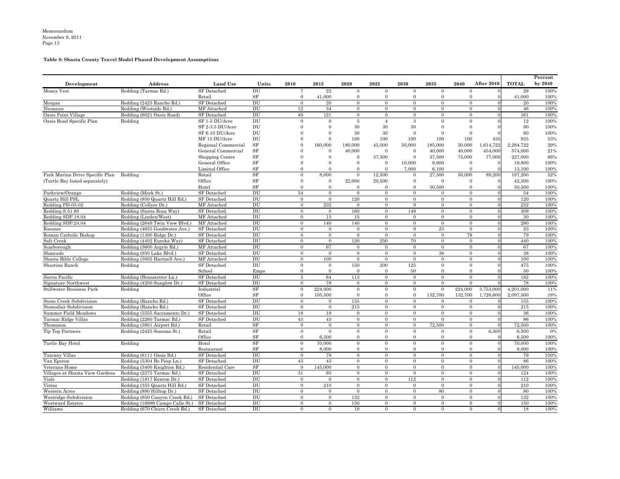# **Table 8: Shasta County Travel Model Phased Development Assumptions**

| Development                     | Address                         | <b>Land Use</b>     | Units               | 2010           | 2015           | 2020             | 2025           | 2030           | 2035           | 2040           | <b>After 2040</b> | <b>TOTAL</b> | Percent<br>by $2040$ |
|---------------------------------|---------------------------------|---------------------|---------------------|----------------|----------------|------------------|----------------|----------------|----------------|----------------|-------------------|--------------|----------------------|
| Money Vest                      | Redding (Tarmac Rd.)            | SF Detached         | DU                  |                | $22\,$         | $\Omega$         | $\Omega$       | $\Omega$       | $\Omega$       | $\Omega$       |                   | 29           | 100%                 |
|                                 |                                 | Retail              | <b>SF</b>           |                | 41,000         |                  |                |                |                |                |                   | 41,000       | 100%                 |
| Morgan                          | Redding (2425 Rancho Rd.)       | <b>SF</b> Detached  | DU                  | $\Omega$       | 20             | $\overline{0}$   | $\overline{0}$ | $\Omega$       | $\overline{0}$ | $\overline{0}$ |                   | 20           | 100%                 |
| Niemann                         | Redding (Westside Rd.)          | MF Attached         | DU                  | 12             | 34             | $\Omega$         | $\Omega$       | $\overline{0}$ | $\Omega$       | $\Omega$       |                   | 46           | 100%                 |
| Oasis Point Village             | Redding (6021 Oasis Road)       | <b>SF</b> Detached  | DU                  | 40             | 121            | $\overline{0}$   | $\overline{0}$ | $\overline{0}$ | $\overline{0}$ | $\overline{0}$ |                   | 161          | 100%                 |
| Oasis Road Specific Plan        | Redding                         | SF 1-5 DU/Acre      | DU                  | $\theta$       | $\Omega$       | -5               | $\overline{4}$ | -3             | $\Omega$       | $\Omega$       |                   | 12           | 100%                 |
|                                 |                                 | SF 2-3.5 DU/Acre    | DU                  |                |                | 30               | 30             | 30             |                |                |                   | 90           | 100%                 |
|                                 |                                 | SF 6-10 DU/Acre     | DU                  |                |                | 30               | 30             |                |                |                |                   | 60           | 100%                 |
|                                 |                                 | MF 15 DU/Acre       | DU                  |                |                | 100              | 100            | 100            | 100            | 100            | 435               | 935          | 53%                  |
|                                 |                                 | Regional Commercial | <b>SF</b>           |                | 160,000        | 180,000          | 45,000         | 50,000         | 185,000        | 50,000         | l,614,722         | 2,284,722    | 29%                  |
|                                 |                                 | General Commercial  | <b>SF</b>           |                | $\Omega$       | 40,000           | $\overline{0}$ | $\bf{0}$       | 40,000         | 40,000         | 454,000           | 574,000      | 21%                  |
|                                 |                                 | Shopping Center     | <b>SF</b>           |                |                |                  | 37,500         | 0              | 37,500         | 75,000         | 77,000            | 227,000      | 66%                  |
|                                 |                                 | General Office      | <b>SF</b>           |                |                |                  | $\Omega$       | 10,000         | 9,800          |                |                   | 19,800       | 100%                 |
|                                 |                                 | Limited Office      | <b>SF</b>           |                |                |                  |                | 7,000          | 6,100          |                |                   | 13,100       | 100%                 |
| Park Marina Drive Specific Plan | Redding                         | Retail              | <b>SF</b>           | 0              | 8,000          | $\Omega$         | 12,500         | $\overline{0}$ | 27,500         | 50,000         | 89,200            | 187,200      | 52%                  |
| (Turtle Bay listed separately)  |                                 | Office              | <b>SF</b>           |                | $\Omega$       | 22,000           | 20,500         |                | $\Omega$       |                |                   | 42,500       | 100%                 |
|                                 |                                 | Hotel               | <b>SF</b>           |                |                |                  |                |                | 50,500         |                |                   | 50,500       | 100%                 |
| Parkview/Orange                 | Redding (Mark St.)              | <b>SF</b> Detached  | DU                  | 54             | $\Omega$       | $\Omega$         | $\theta$       | $\Omega$       | $\Omega$       | $\Omega$       |                   | 54           | 100%                 |
| Quartz Hill PSL                 | Redding (850 Quartz Hill Rd.)   | <b>SF</b> Detached  | DU                  | $\Omega$       | $\theta$       | 120              | $\Omega$       | $\overline{0}$ | $\theta$       | $\theta$       |                   | 120          | 100%                 |
| Redding PD-03-02                | Redding (Collyer Dr.)           | MF Attached         | DU                  | 0              | 232            | $\Omega$         | $\overline{0}$ | $\Omega$       | $\overline{0}$ | $\overline{0}$ |                   | $\bf 232$    | 100%                 |
| Redding S.51.90                 | Redding (Santa Rosa Way)        | <b>SF</b> Detached  | DU                  | $\Omega$       | $\overline{0}$ | 160              | $\Omega$       | 149            | $\Omega$       | $\Omega$       |                   | 309          | 100%                 |
| Redding SDP.18.04               | Redding (Linden/West)           | MF Attached         | DU                  | $\Omega$       | 15             | 15               | $\theta$       | $\theta$       | $\theta$       | $\overline{0}$ |                   | 30           | 100%                 |
| Redding SDP.24.04               | Redding (2649 Twin View Blvd.)  | MF Attached         | DU                  | $\Omega$       | 140            | 140              | $\Omega$       | $\overline{0}$ | $\Omega$       | $\Omega$       |                   | 280          | 100%                 |
| Roesner                         | Redding (4655 Goodwater Ave.)   | <b>SF</b> Detached  | DU                  | 0              | $\Omega$       | $\Omega$         | $\theta$       | $\Omega$       | $\bf 23$       | $\Omega$       |                   | 23           | 100%                 |
| Roman Catholic Bishop           | Redding (1300 Ridge Dr.)        | <b>SF</b> Detached  | DU                  | $\Omega$       | $\Omega$       | $\Omega$         | $\Omega$       | $\Omega$       | $\Omega$       | 79             |                   | 79           | 100%                 |
| Salt Creek                      | Redding (4402 Eureka Way)       | <b>SF</b> Detached  | DU                  | $\Omega$       | $\theta$       | 120              | 250            | 70             | $\Omega$       | $\Omega$       |                   | 440          | 100%                 |
| Scarborough                     | Redding (3600 Argyle Rd.)       | MF Attached         | DU                  | 0              | 67             | $\Omega$         | $\overline{0}$ | $\overline{0}$ | $\Omega$       | $\Omega$       |                   | 67           | 100%                 |
| Shascade                        | Redding (950 Lake Blvd.)        | <b>SF</b> Detached  | DU                  | $\Omega$       | $\overline{0}$ | $\Omega$         | $\overline{0}$ | $\Omega$       | $38\,$         | $\Omega$       |                   | 38           | 100%                 |
| Shasta Bible College            | Redding (3005 Hartnell Ave.)    | MF Attached         | DU                  | $\Omega$       | 100            | $\Omega$         | $\Omega$       | $\Omega$       | $\Omega$       | $\overline{0}$ |                   | 100          | 100%                 |
| Shastina Ranch                  | Redding                         | <b>SF</b> Detached  | DU                  | 0              | $\Omega$       | 150              | 200            | 125            | $\Omega$       | $\overline{0}$ |                   | 475          | 100%                 |
|                                 |                                 | School              | Emps                |                | $\Omega$       | $\Omega$         | $\overline{0}$ | 50             |                |                |                   | 50           | 100%                 |
| Sierra Pacific                  | Redding (Branstetter Ln.)       | <b>SF</b> Detached  | DU                  | 5              | 64             | 113              | $\overline{0}$ | $\Omega$       | $\Omega$       | $\Omega$       |                   | 182          | 100%                 |
| Signature Northwest             | Redding (4200 Sunglow Dr.)      | <b>SF</b> Detached  | $\overline{\rm DU}$ | $\overline{0}$ | 78             | $\boldsymbol{0}$ | $\overline{0}$ | $\overline{0}$ | $\overline{0}$ | $\overline{0}$ |                   | 78           | 100%                 |
| <b>Stillwater Business Park</b> | Redding                         | Industrial          | SF                  | $\Omega$       | 224,000        | $\overline{0}$   | $\overline{0}$ | $\overline{0}$ | $\Omega$       | 224,000        | 3,753,000         | 4,201,000    | 11%                  |
|                                 |                                 | Office              | <b>SF</b>           |                | 105,500        |                  |                |                | 132,700        | 132,700        | 1,726,600         | 2,097,500    | 18%                  |
| Stone Creek Subdivision         | Redding (Rancho Rd.)            | <b>SF</b> Detached  | DU                  |                | $\Omega$       | 155              | $\overline{0}$ | $\overline{0}$ | $\Omega$       | $\overline{0}$ |                   | 155          | 100%                 |
| Stonesfair Subdivision          | Redding (Rancho Rd.)            | <b>SF</b> Detached  | DU                  | 0              | $\Omega$       | 215              | $\overline{0}$ | $\overline{0}$ | $\Omega$       | $\overline{0}$ |                   | $215\,$      | 100%                 |
| <b>Summer Field Meadows</b>     | Redding (3555 Sacramento Dr.)   | <b>SF</b> Detached  | DU                  | 18             | 18             | $\Omega$         | $\Omega$       | $\Omega$       | $\Omega$       | $\Omega$       |                   | 36           | 100%                 |
| Tarmac Ridge Villas             | Redding (2260 Tarmac Rd.)       | <b>SF</b> Detached  | DU                  | 43             | 43             | $\Omega$         | $\theta$       | $\Omega$       | $\Omega$       | $\Omega$       |                   | 86           | 100%                 |
| Thomason                        | Redding (3901 Airport Rd.)      | Retail              | SF                  | $\Omega$       | $\Omega$       | $\Omega$         | $\overline{0}$ | $\overline{0}$ | 72,500         | $\Omega$       |                   | 72,500       | 100%                 |
| Tip Top Partners                | Redding (2425 Sonoma St.)       | Retail              | <b>SF</b>           | 0              | $\Omega$       | $\Omega$         | $\overline{0}$ | $\overline{0}$ |                | $\overline{0}$ | 6,500             | 6,500        | 0%                   |
|                                 |                                 | Office              | <b>SF</b>           |                | 6,500          |                  |                |                |                |                |                   | 6,500        | 100%                 |
| Turtle Bay Hotel                | Redding                         | Hotel               | <b>SF</b>           | $\theta$       | 70,000         |                  | $\Omega$       | 0              | $\overline{0}$ | $\Omega$       |                   | 70,000       | 100%                 |
|                                 |                                 | Restaurant          | <b>SF</b>           |                | 8,000          |                  |                |                |                |                |                   | 8,000        | 100%                 |
| Tuscany Villas                  | Redding (6111 Oasis Rd.)        | <b>SF</b> Detached  | DU                  | 0              | 79             | $\Omega$         | $\Omega$       | $\Omega$       | $\theta$       | $\theta$       |                   | 79           | 100%                 |
| Van Eperen                      | Redding (5304 Bo Peep Ln.)      | <b>SF</b> Detached  | DU                  | 43             | 43             | $\Omega$         | $\Omega$       | $\Omega$       | $\theta$       | $\Omega$       |                   | 86           | 100%                 |
| Veterans Home                   | Redding (3400 Knighton Rd.)     | Residential Care    | SF                  | $\Omega$       | 145,000        | $\Omega$         | $\Omega$       | $\Omega$       | $\Omega$       | $\Omega$       |                   | 145,000      | 100%                 |
| Villages at Shasta View Gardens | Redding (2275 Tarmac Rd.)       | <b>SF</b> Detached  | DU                  | 31             | 93             | $\Omega$         | $\overline{0}$ | $\Omega$       | $\overline{0}$ | $\overline{0}$ |                   | 124          | 100%                 |
| Viale                           | Redding (1817 Kenton Dr.)       | <b>SF</b> Detached  | DU                  | $\overline{0}$ | $\mathbf{0}$   | $\overline{0}$   | $\overline{0}$ | 112            | $\overline{0}$ | $\overline{0}$ |                   | 112          | 100%                 |
| Vistas                          | Redding (355 Quartz Hill Rd.)   | <b>SF</b> Detached  | DU                  | 0              | 210            | $\Omega$         | $\overline{0}$ | $\overline{0}$ | $\overline{0}$ | $\overline{0}$ |                   | $210\,$      | 100%                 |
| Western Acres                   | Redding (890 Hilltop Dr.)       | <b>SF</b> Detached  | $\rm DU$            | 0              | $\overline{0}$ | $\Omega$         | $\overline{0}$ | $\overline{0}$ | 80             | $\Omega$       |                   | 80           | 100%                 |
| Westridge Subdivision           | Redding (950 Canyon Creek Rd.)  | SF Detached         | DU                  | 0              | $\Omega$       | 132              | $\overline{0}$ | $\overline{0}$ | $\Omega$       | $\overline{0}$ |                   | 132          | 100%                 |
| <b>Westward Estates</b>         | Redding (16989 Campo Calle St.) | SF Detached         | DU                  | 0              | $\Omega$       | 150              | $\overline{0}$ | $\overline{0}$ | $\overline{0}$ | $\overline{0}$ |                   | 150          | 100%                 |
| Williams                        | Redding (670 Churn Creek Rd.)   | SF Detached         | DU                  | $\Omega$       | $\theta$       | 18               | $\overline{0}$ | $\overline{0}$ | $\overline{0}$ | $\overline{0}$ |                   | 18           | 100%                 |